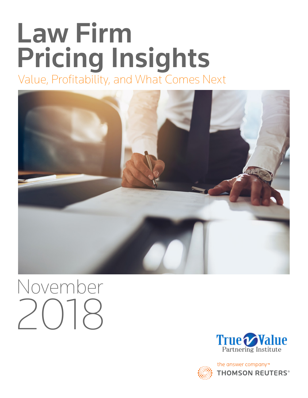## Law Firm Pricing Insights Value, Profitability, and What Comes Next



# November 2018





the answer company™ **THOMSON REUTERS®**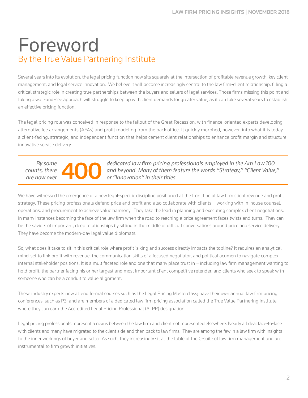### Foreword By the True Value Partnering Institute

Several years into its evolution, the legal pricing function now sits squarely at the intersection of profitable revenue growth, key client management, and legal service innovation. We believe it will become increasingly central to the law firm-client relationship, filling a critical strategic role in creating true partnerships between the buyers and sellers of legal services. Those firms missing this point and taking a wait-and-see approach will struggle to keep up with client demands for greater value, as it can take several years to establish an effective pricing function.

The legal pricing role was conceived in response to the fallout of the Great Recession, with finance-oriented experts developing alternative fee arrangements (AFAs) and profit modeling from the back office. It quickly morphed, however, into what it is today a client-facing, strategic, and independent function that helps cement client relationships to enhance profit margin and structure innovative service delivery.



*By some dedicated law firm pricing professionals employed in the Am Law 100 and beyond. Many of them feature the words "Strategy," "Client Value, or "Innovation" in their titles. and beyond. Many of them feature the words "Strategy," "Client Value," or "Innovation" in their titles.*

We have witnessed the emergence of a new legal-specific discipline positioned at the front line of law firm client revenue and profit strategy. These pricing professionals defend price and profit and also collaborate with clients – working with in-house counsel, operations, and procurement to achieve value harmony. They take the lead in planning and executing complex client negotiations, in many instances becoming the face of the law firm when the road to reaching a price agreement faces twists and turns. They can be the saviors of important, deep relationships by sitting in the middle of difficult conversations around price and service delivery. They have become the modern-day legal value diplomats.

So, what does it take to sit in this critical role where profit is king and success directly impacts the topline? It requires an analytical mind-set to link profit with revenue, the communication skills of a focused negotiator, and political acumen to navigate complex internal stakeholder positions. It is a multifaceted role and one that many place trust in − including law firm management wanting to hold profit, the partner facing his or her largest and most important client competitive retender, and clients who seek to speak with someone who can be a conduit to value alignment.

These industry experts now attend formal courses such as the Legal Pricing Masterclass; have their own annual law firm pricing conferences, such as P3; and are members of a dedicated law firm pricing association called the True Value Partnering Institute, where they can earn the Accredited Legal Pricing Professional (ALPP) designation.

Legal pricing professionals represent a nexus between the law firm and client not represented elsewhere. Nearly all deal face-to-face with clients and many have migrated to the client side and then back to law firms. They are among the few in a law firm with insights to the inner workings of buyer and seller. As such, they increasingly sit at the table of the C-suite of law firm management and are instrumental to firm growth initiatives.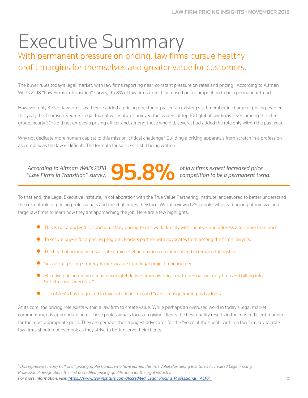### Executive Summary With permanent pressure on pricing, law firms pursue healthy profit margins for themselves and greater value for customers.

The buyer rules today's legal market, with law firms reporting near-constant pressure on rates and pricing. According to Altman Weil's 2018 "Law Firms in Transition" survey, 95.8% of law firms expect increased price competition to be a permanent trend.

However, only 31% of law firms say they've added a pricing director or placed an existing staff member in charge of pricing. Earlier this year, the Thomson Reuters Legal Executive Institute surveyed the leaders of top 100 global law firms. Even among this elite group, nearly 30% did not employ a pricing officer and, among those who did, several had added the role only within the past year.

Why not dedicate more human capital to this mission-critical challenge? Building a pricing apparatus from scratch in a profession as complex as the law is difficult. The formula for success is still being written.



*competition to be a permanent trend.* 

To that end, the Legal Executive Institute, in collaboration with the True Value Partnering Institute, endeavored to better understand the current role of pricing professionals and the challenges they face. We interviewed 25 people<sup>1</sup> who lead pricing at midsize and large law firms to learn how they are approaching the job. Here are a few highlights:

- This is not a back-office function. Many pricing teams work directly with clients − and address a lot more than price.
- To secure buy-in for a pricing program, leaders partner with advocates from among the firm's lawyers.
- The head of pricing needs a "sales" mind-set and a focus on internal and external relationships.
- Successful pricing strategy is inextricable from legal project management.
- Effective pricing requires mastery of intel derived from historical matters − but not only time and billing info. Get attorney "anecdata."
- Use of AFAs has stagnated in favor of client-imposed "caps" masquerading as budgets.

At its core, the pricing role exists within a law firm to create value. While perhaps an overused word in today's legal market commentary, it is appropriate here: These professionals focus on giving clients the best quality results in the most efficient manner for the most appropriate price. They are perhaps the strongest advocates for the "voice of the client" within a law firm, a vital role law firms should not overlook as they strive to better serve their clients.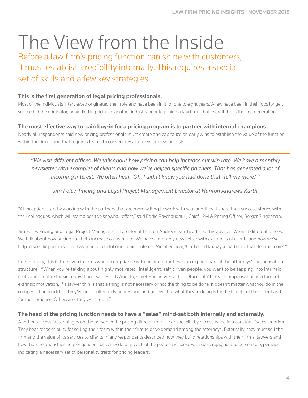## The View from the Inside

Before a law firm's pricing function can shine with customers, it must establish credibility internally. This requires a special set of skills and a few key strategies.

#### This is the first generation of legal pricing professionals.

Most of the individuals interviewed originated their role and have been in it for one to eight years. A few have been in their jobs longer, succeeded the originator, or worked in pricing in another industry prior to joining a law firm – but overall this is the first generation.

#### The most effective way to gain buy-in for a pricing program is to partner with internal champions.

Nearly all respondents said new pricing professionals must create and capitalize on early wins to establish the value of the function within the firm – and that requires teams to convert key attorneys into evangelists.

*"We visit different offices. We talk about how pricing can help increase our win rate. We have a monthly newsletter with examples of clients and how we've helped specific partners. That has generated a lot of incoming interest. We often hear, 'Oh, I didn't know you had done that. Tell me more.' "*

#### *Jim Foley, Pricing and Legal Project Management Director at Hunton Andrews Kurth*

"At inception, start by working with the partners that are more willing to work with you, and they'll share their success stories with their colleagues, which will start a positive snowball effect," said Eddie Raychaudhuri, Chief LPM & Pricing Officer, Berger Singerman.

Jim Foley, Pricing and Legal Project Management Director at Hunton Andrews Kurth, offered this advice: "We visit different offices. We talk about how pricing can help increase our win rate. We have a monthly newsletter with examples of clients and how we've helped specific partners. That has generated a lot of incoming interest. We often hear, 'Oh, I didn't know you had done that. Tell me more.' "

Interestingly, this is true even in firms where compliance with pricing priorities is an explicit part of the attorneys' compensation structure. "When you're talking about highly motivated, intelligent, self-driven people, you want to be tapping into intrinsic motivation, not extrinsic motivation," said Pier D'Angelo, Chief Pricing & Practice Officer at Allens. "Compensation is a form of extrinsic motivation. If a lawyer thinks that a thing is not necessary or not the thing to be done, it doesn't matter what you do in the compensation model. ... They've got to ultimately understand and believe that what they're doing is for the benefit of their client and for their practice. Otherwise, they won't do it."

#### The head of the pricing function needs to have a "sales" mind-set both internally and externally.

Another success factor hinges on the person in the pricing director role. He or she will, by necessity, be in a constant "sales" motion. They bear responsibility for selling their team within their firm to drive demand among the attorneys. Externally, they must sell the firm and the value of its services to clients. Many respondents described how they build relationships with their firms' lawyers and how those relationships help engender trust. Anecdotally, each of the people we spoke with was engaging and personable, perhaps indicating a necessary set of personality traits for pricing leaders.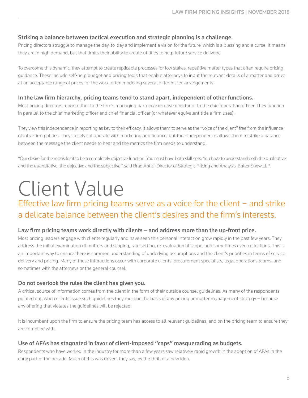#### Striking a balance between tactical execution and strategic planning is a challenge.

Pricing directors struggle to manage the day-to-day and implement a vision for the future, which is a blessing and a curse: It means they are in high demand, but that limits their ability to create utilities to help future service delivery.

To overcome this dynamic, they attempt to create replicable processes for low stakes, repetitive matter types that often require pricing guidance. These include self-help budget and pricing tools that enable attorneys to input the relevant details of a matter and arrive at an acceptable range of prices for the work, often modeling several different fee arrangements.

#### In the law firm hierarchy, pricing teams tend to stand apart, independent of other functions.

Most pricing directors report either to the firm's managing partner/executive director or to the chief operating officer. They function in parallel to the chief marketing officer and chief financial officer (or whatever equivalent title a firm uses).

They view this independence in reporting as key to their efficacy. It allows them to serve as the "voice of the client" free from the influence of intra-firm politics. They closely collaborate with marketing and finance, but their independence allows them to strike a balance between the message the client needs to hear and the metrics the firm needs to understand.

"Our desire for the role is for it to be a completely objective function. You must have both skill sets. You have to understand both the qualitative and the quantitative; the objective and the subjective," said Brad Antici, Director of Strategic Pricing and Analysis, Butler Snow LLP.

## Client Value

### Effective law firm pricing teams serve as a voice for the client – and strike a delicate balance between the client's desires and the firm's interests.

#### Law firm pricing teams work directly with clients − and address more than the up-front price.

Most pricing leaders engage with clients regularly and have seen this personal interaction grow rapidly in the past few years. They address the initial examination of matters and scoping, rate setting, re-evaluation of scope, and sometimes even collections. This is an important way to ensure there is common understanding of underlying assumptions and the client's priorities in terms of service delivery and pricing. Many of these interactions occur with corporate clients' procurement specialists, legal operations teams, and sometimes with the attorneys or the general counsel.

#### Do not overlook the rules the client has given you.

A critical source of information comes from the client in the form of their outside counsel guidelines. As many of the respondents pointed out, when clients issue such guidelines they must be the basis of any pricing or matter management strategy − because any offering that violates the guidelines will be rejected.

It is incumbent upon the firm to ensure the pricing team has access to all relevant guidelines, and on the pricing team to ensure they are complied with.

#### Use of AFAs has stagnated in favor of client-imposed "caps" masquerading as budgets.

Respondents who have worked in the industry for more than a few years saw relatively rapid growth in the adoption of AFAs in the early part of the decade. Much of this was driven, they say, by the thrill of a new idea.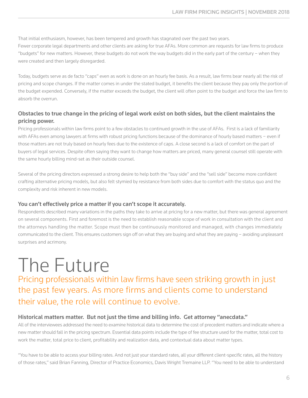That initial enthusiasm, however, has been tempered and growth has stagnated over the past two years.

Fewer corporate legal departments and other clients are asking for true AFAs. More common are requests for law firms to produce "budgets" for new matters. However, these budgets do not work the way budgets did in the early part of the century – when they were created and then largely disregarded.

Today, budgets serve as de facto "caps" even as work is done on an hourly fee basis. As a result, law firms bear nearly all the risk of pricing and scope changes. If the matter comes in under the stated budget, it benefits the client because they pay only the portion of the budget expended. Conversely, if the matter exceeds the budget, the client will often point to the budget and force the law firm to absorb the overrun.

#### Obstacles to true change in the pricing of legal work exist on both sides, but the client maintains the pricing power.

Pricing professionals within law firms point to a few obstacles to continued growth in the use of AFAs. First is a lack of familiarity with AFAs even among lawyers at firms with robust pricing functions because of the dominance of hourly based matters − even if those matters are not truly based on hourly fees due to the existence of caps. A close second is a lack of comfort on the part of buyers of legal services. Despite often saying they want to change how matters are priced, many general counsel still operate with the same hourly billing mind-set as their outside counsel.

Several of the pricing directors expressed a strong desire to help both the "buy side" and the "sell side" become more confident crafting alternative pricing models, but also felt stymied by resistance from both sides due to comfort with the status quo and the complexity and risk inherent in new models.

#### You can't effectively price a matter if you can't scope it accurately.

Respondents described many variations in the paths they take to arrive at pricing for a new matter, but there was general agreement on several components. First and foremost is the need to establish reasonable scope of work in consultation with the client and the attorneys handling the matter. Scope must then be continuously monitored and managed, with changes immediately communicated to the client. This ensures customers sign off on what they are buying and what they are paying – avoiding unpleasant surprises and acrimony.

### The Future

Pricing professionals within law firms have seen striking growth in just the past few years. As more firms and clients come to understand their value, the role will continue to evolve.

#### Historical matters matter. But not just the time and billing info. Get attorney "anecdata."

All of the interviewees addressed the need to examine historical data to determine the cost of precedent matters and indicate where a new matter should fall in the pricing spectrum. Essential data points include the type of fee structure used for the matter, total cost to work the matter, total price to client, profitability and realization data, and contextual data about matter types.

"You have to be able to access your billing rates. And not just your standard rates, all your different client-specific rates, all the history of those rates," said Brian Fanning, Director of Practice Economics, Davis Wright Tremaine LLP. "You need to be able to understand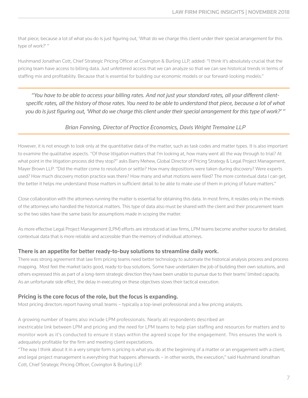that piece, because a lot of what you do is just figuring out, 'What do we charge this client under their special arrangement for this type of work?' "

Hushmand Jonathan Cott, Chief Strategic Pricing Officer at Covington & Burling LLP, added: "I think it's absolutely crucial that the pricing team have access to billing data. Just unfettered access that we can analyze so that we can see historical trends in terms of staffing mix and profitability. Because that is essential for building our economic models or our forward-looking models."

*"You have to be able to access your billing rates. And not just your standard rates, all your different clientspecific rates, all the history of those rates. You need to be able to understand that piece, because a lot of what you do is just figuring out, 'What do we charge this client under their special arrangement for this type of work?' "*

#### *Brian Fanning, Director of Practice Economics, Davis Wright Tremaine LLP*

However, it is not enough to look only at the quantitative data of the matter, such as task codes and matter types. It is also important to examine the qualitative aspects. "Of those litigation matters that I'm looking at, how many went all the way through to trial? At what point in the litigation process did they stop?" asks Barry Mehew, Global Director of Pricing Strategy & Legal Project Management, Mayer Brown LLP. "Did the matter come to resolution or settle? How many depositions were taken during discovery? Were experts used? How much discovery motion practice was there? How many and what motions were filed? The more contextual data I can get, the better it helps me understand those matters in sufficient detail to be able to make use of them in pricing of future matters."

Close collaboration with the attorneys running the matter is essential for obtaining this data. In most firms, it resides only in the minds of the attorneys who handled the historical matters. This type of data also must be shared with the client and their procurement team so the two sides have the same basis for assumptions made in scoping the matter.

As more effective Legal Project Management (LPM) efforts are introduced at law firms, LPM teams become another source for detailed, contextual data that is more reliable and accessible than the memory of individual attorneys.

#### There is an appetite for better ready-to-buy solutions to streamline daily work.

There was strong agreement that law firm pricing teams need better technology to automate the historical analysis process and process mapping. Most feel the market lacks good, ready-to-buy solutions. Some have undertaken the job of building their own solutions, and others expressed this as part of a long-term strategic direction they have been unable to pursue due to their teams' limited capacity. As an unfortunate side effect, the delay in executing on these objectives slows their tactical execution.

#### Pricing is the core focus of the role, but the focus is expanding.

Most pricing directors report having small teams – typically a top-level professional and a few pricing analysts.

#### A growing number of teams also include LPM professionals. Nearly all respondents described an

inextricable link between LPM and pricing and the need for LPM teams to help plan staffing and resources for matters and to monitor work as it's conducted to ensure it stays within the agreed scope for the engagement. This ensures the work is adequately profitable for the firm and meeting client expectations.

"The way I think about it in a very simple form is pricing is what you do at the beginning of a matter or an engagement with a client, and legal project management is everything that happens afterwards – in other words, the execution," said Hushmand Jonathan Cott, Chief Strategic Pricing Officer, Covington & Burling LLP.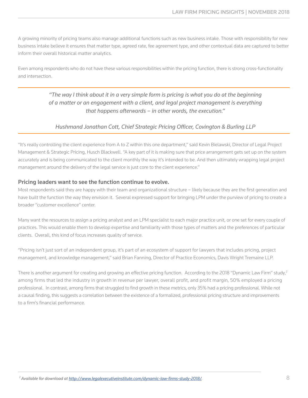A growing minority of pricing teams also manage additional functions such as new business intake. Those with responsibility for new business intake believe it ensures that matter type, agreed rate, fee agreement type, and other contextual data are captured to better inform their overall historical matter analytics.

Even among respondents who do not have these various responsibilities within the pricing function, there is strong cross-functionality and intersection.

#### *"The way I think about it in a very simple form is pricing is what you do at the beginning of a matter or an engagement with a client, and legal project management is everything that happens afterwards – in other words, the execution."*

#### *Hushmand Jonathan Cott, Chief Strategic Pricing Officer, Covington & Burling LLP*

"It's really controlling the client experience from A to Z within this one department," said Kevin Bielawski, Director of Legal Project Management & Strategic Pricing, Husch Blackwell. "A key part of it is making sure that price arrangement gets set up on the system accurately and is being communicated to the client monthly the way it's intended to be. And then ultimately wrapping legal project management around the delivery of the legal service is just core to the client experience."

#### Pricing leaders want to see the function continue to evolve.

Most respondents said they are happy with their team and organizational structure – likely because they are the first generation and have built the function the way they envision it. Several expressed support for bringing LPM under the purview of pricing to create a broader "customer excellence" center.

Many want the resources to assign a pricing analyst and an LPM specialist to each major practice unit, or one set for every couple of practices. This would enable them to develop expertise and familiarity with those types of matters and the preferences of particular clients. Overall, this kind of focus increases quality of service.

"Pricing isn't just sort of an independent group, it's part of an ecosystem of support for lawyers that includes pricing, project management, and knowledge management," said Brian Fanning, Director of Practice Economics, Davis Wright Tremaine LLP.

There is another argument for creating and growing an effective pricing function. According to the 2018 "Dynamic Law Firm" study,<sup>2</sup> among firms that led the industry in growth in revenue per lawyer, overall profit, and profit margin, 50% employed a pricing professional. In contrast, among firms that struggled to find growth in these metrics, only 35% had a pricing professional. While not a causal finding, this suggests a correlation between the existence of a formalized, professional pricing structure and improvements to a firm's financial performance.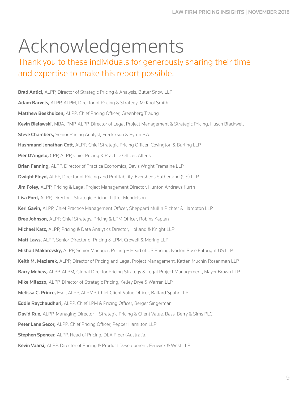### Acknowledgements

### Thank you to these individuals for generously sharing their time and expertise to make this report possible.

Brad Antici, ALPP, Director of Strategic Pricing & Analysis, Butler Snow LLP Adam Barvels, ALPP, ALPM, Director of Pricing & Strategy, McKool Smith Matthew Beekhuizen, ALPP, Chief Pricing Officer, Greenberg Traurig Kevin Bielawski, MBA, PMP, ALPP, Director of Legal Project Management & Strategic Pricing, Husch Blackwell **Steve Chambers, Senior Pricing Analyst, Fredrikson & Byron P.A.** Hushmand Jonathan Cott, ALPP, Chief Strategic Pricing Officer, Covington & Burling LLP Pier D'Angelo, CPP, ALPP, Chief Pricing & Practice Officer, Allens Brian Fanning, ALPP, Director of Practice Economics, Davis Wright Tremaine LLP Dwight Floyd, ALPP, Director of Pricing and Profitability, Eversheds Sutherland (US) LLP Jim Foley, ALPP, Pricing & Legal Project Management Director, Hunton Andrews Kurth Lisa Ford, ALPP, Director - Strategic Pricing, Littler Mendelson Keri Gavin, ALPP, Chief Practice Management Officer, Sheppard Mullin Richter & Hampton LLP Bree Johnson, ALPP, Chief Strategy, Pricing & LPM Officer, Robins Kaplan Michael Katz, ALPP, Pricing & Data Analytics Director, Holland & Knight LLP Matt Laws, ALPP, Senior Director of Pricing & LPM, Crowell & Moring LLP Mikhail Makarovsky, ALPP, Senior Manager, Pricing – Head of US Pricing, Norton Rose Fulbright US LLP Keith M. Maziarek, ALPP, Director of Pricing and Legal Project Management, Katten Muchin Rosenman LLP Barry Mehew, ALPP, ALPM, Global Director Pricing Strategy & Legal Project Management, Mayer Brown LLP Mike Milazzo, ALPP, Director of Strategic Pricing, Kelley Drye & Warren LLP Melissa C. Prince, Esq., ALPP, ALPMP, Chief Client Value Officer, Ballard Spahr LLP **Eddie Raychaudhuri, ALPP, Chief LPM & Pricing Officer, Berger Singerman David Rue,** ALPP, Managing Director - Strategic Pricing & Client Value, Bass, Berry & Sims PLC Peter Lane Secor, ALPP, Chief Pricing Officer, Pepper Hamilton LLP **Stephen Spencer, ALPP, Head of Pricing, DLA Piper (Australia)** Kevin Vaarsi, ALPP, Director of Pricing & Product Development, Fenwick & West LLP